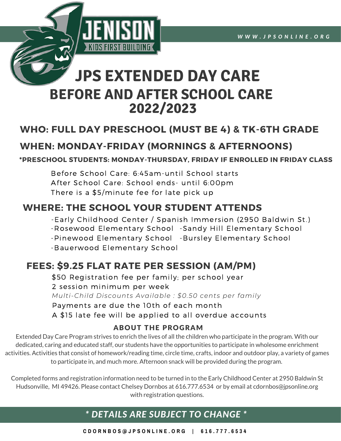

# **BEFORE AND AFTER SCHOOL CARE JPS EXTENDED DAY CARE 2022/2023**

### **WHO: FULL DAY PRESCHOOL (MUST BE 4) & TK-6TH GRADE**

### **WHEN: MONDAY-FRIDAY (MORNINGS & AFTERNOONS)**

#### **\*PRESCHOOL STUDENTS: MONDAY-THURSDAY, FRIDAY IF ENROLLED IN FRIDAY CLASS**

Before School Care: 6:45am-until School starts After School Care: School ends- until 6:00pm There is a \$5/minute fee for late pick up

### **WHERE: THE SCHOOL YOUR STUDENT ATTENDS**

- -Early Childhood Center / Spanish Immersion (2950 Baldwin St.)
- -Rosewood Elementary School -Sandy Hill Elementary School
- -Pinewood Elementary School -Bursley Elementary School
- -Bauerwood Elementary School

### **FEES: \$9.25 FLAT RATE PER SESSION (AM/PM)**

Payments are due the 10th of each month A \$15 late fee will be applied to all overdue accounts  *Multi-Child Discounts Available : \$0.50 cents per family* 2 session minimum per week \$50 Registration fee per family; per school year

#### ABOUT THE PROGRAM

 to participate in, and much more. Afternoon snack will be provided during the program. Extended Day Care Program strives to enrich the lives of all the children who participate in the program. With our dedicated, caring and educated staff, our students have the opportunities to participate in wholesome enrichment activities. Activities that consist of homework/reading time, circle time, crafts, indoor and outdoor play, a variety of games

 with registration questions. Completed forms and registration information need to be turned in to the Early Childhood Center at 2950 Baldwin St Hudsonville, MI 49426. Please contact Chelsey Dornbos at 616.777.6534 or by email at [cdornbos@jpsonline.org](mailto:cdornbos@jpsonline.org)

### *\* DETAILS ARE SUBJECT TO CHANGE \**

 **C D O R N B O S @ J P S O N L I N E . O R G | 6 1 6 . 7 7 7 . 6 5 3 4**